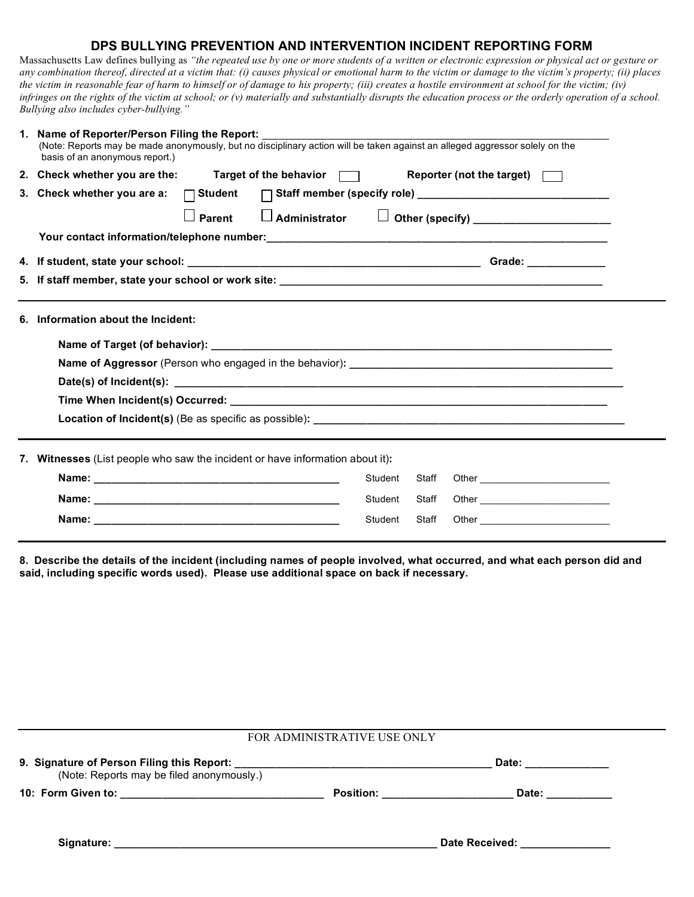## **DPS BULLYING PREVENTION AND INTERVENTION INCIDENT REPORTING FORM**

Massachusetts Law defines bullying as *"the repeated use by one or more students of a written or electronic expression or physical act or gesture or any combination thereof, directed at a victim that: (i) causes physical or emotional harm to the victim or damage to the victim's property; (ii) places the victim in reasonable fear of harm to himself or of damage to his property; (iii) creates a hostile environment at school for the victim; (iv) infringes on the rights of the victim at school; or (v) materially and substantially disrupts the education process or the orderly operation of a school. Bullying also includes cyber-bullying."*

|    | 1. Name of Reporter/Person Filing the Report: __________<br>(Note: Reports may be made anonymously, but no disciplinary action will be taken against an alleged aggressor solely on the<br>basis of an anonymous report.) |  |  |  |  |
|----|---------------------------------------------------------------------------------------------------------------------------------------------------------------------------------------------------------------------------|--|--|--|--|
|    | 2. Check whether you are the:<br>Target of the behavior $\Box$<br>Reporter (not the target) $\Box$                                                                                                                        |  |  |  |  |
|    | 3. Check whether you are a:<br>$\Box$ Student                                                                                                                                                                             |  |  |  |  |
|    | $\Box$ Administrator $\Box$ Other (specify) ____________________<br>Parent                                                                                                                                                |  |  |  |  |
|    |                                                                                                                                                                                                                           |  |  |  |  |
|    |                                                                                                                                                                                                                           |  |  |  |  |
|    |                                                                                                                                                                                                                           |  |  |  |  |
| 6. | Information about the Incident:                                                                                                                                                                                           |  |  |  |  |
|    | Witnesses (List people who saw the incident or have information about it):                                                                                                                                                |  |  |  |  |
|    | Other <b>Communication Communication</b><br>Student<br>Staff                                                                                                                                                              |  |  |  |  |
|    | Student<br>Staff                                                                                                                                                                                                          |  |  |  |  |
|    | Student<br>Staff                                                                                                                                                                                                          |  |  |  |  |

**8. Describe the details of the incident (including names of people involved, what occurred, and what each person did and said, including specific words used). Please use additional space on back if necessary.**

| FOR ADMINISTRATIVE USE ONLY               |                           |                                                                                                                |  |  |
|-------------------------------------------|---------------------------|----------------------------------------------------------------------------------------------------------------|--|--|
| (Note: Reports may be filed anonymously.) |                           | Date: _______________                                                                                          |  |  |
|                                           | Position: _______________ | Date: _______                                                                                                  |  |  |
|                                           |                           | Date Received: Networks and the set of the set of the set of the set of the set of the set of the set of the s |  |  |